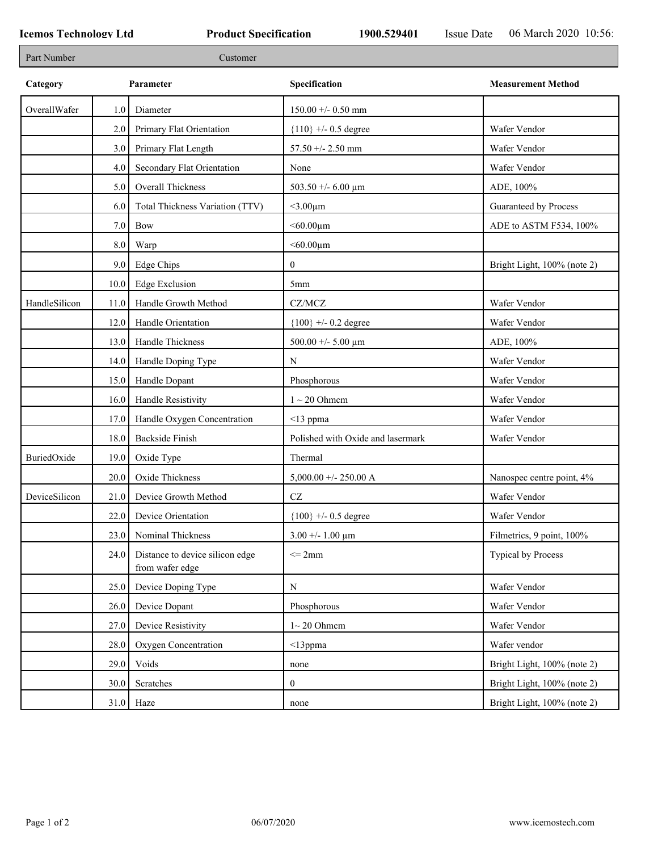| Part Number   |      | Customer                                           |                                   |                             |
|---------------|------|----------------------------------------------------|-----------------------------------|-----------------------------|
| Category      |      | Parameter                                          | Specification                     | <b>Measurement Method</b>   |
| OverallWafer  | 1.0  | Diameter                                           | $150.00 + - 0.50$ mm              |                             |
|               | 2.0  | Primary Flat Orientation                           | ${110}$ +/- 0.5 degree            | Wafer Vendor                |
|               | 3.0  | Primary Flat Length                                | 57.50 +/- 2.50 mm                 | Wafer Vendor                |
|               | 4.0  | Secondary Flat Orientation                         | None                              | Wafer Vendor                |
|               | 5.0  | Overall Thickness                                  | 503.50 +/- 6.00 $\mu$ m           | ADE, 100%                   |
|               | 6.0  | Total Thickness Variation (TTV)                    | $<$ 3.00 $\mu$ m                  | Guaranteed by Process       |
|               | 7.0  | Bow                                                | $<$ 60.00 $\mu$ m                 | ADE to ASTM F534, 100%      |
|               | 8.0  | Warp                                               | $<$ 60.00 $\mu$ m                 |                             |
|               | 9.0  | Edge Chips                                         | $\overline{0}$                    | Bright Light, 100% (note 2) |
|               | 10.0 | <b>Edge Exclusion</b>                              | 5 <sub>mm</sub>                   |                             |
| HandleSilicon | 11.0 | Handle Growth Method                               | CZ/MCZ                            | Wafer Vendor                |
|               | 12.0 | Handle Orientation                                 | ${100}$ +/- 0.2 degree            | Wafer Vendor                |
|               | 13.0 | Handle Thickness                                   | 500.00 +/- 5.00 $\mu$ m           | ADE, 100%                   |
|               | 14.0 | Handle Doping Type                                 | N                                 | Wafer Vendor                |
|               | 15.0 | Handle Dopant                                      | Phosphorous                       | Wafer Vendor                |
|               | 16.0 | Handle Resistivity                                 | $1 \sim 20$ Ohmem                 | Wafer Vendor                |
|               | 17.0 | Handle Oxygen Concentration                        | $<$ 13 ppma                       | Wafer Vendor                |
|               | 18.0 | <b>Backside Finish</b>                             | Polished with Oxide and lasermark | Wafer Vendor                |
| BuriedOxide   | 19.0 | Oxide Type                                         | Thermal                           |                             |
|               | 20.0 | Oxide Thickness                                    | 5,000.00 +/- 250.00 A             | Nanospec centre point, 4%   |
| DeviceSilicon | 21.0 | Device Growth Method                               | $\operatorname{CZ}$               | Wafer Vendor                |
|               | 22.0 | Device Orientation                                 | ${100}$ +/- 0.5 degree            | Wafer Vendor                |
|               | 23.0 | Nominal Thickness                                  | $3.00 + - 1.00 \mu m$             | Filmetrics, 9 point, 100%   |
|               | 24.0 | Distance to device silicon edge<br>from wafer edge | $\leq$ 2mm                        | Typical by Process          |
|               | 25.0 | Device Doping Type                                 | $\mathbf N$                       | Wafer Vendor                |
|               | 26.0 | Device Dopant                                      | Phosphorous                       | Wafer Vendor                |
|               | 27.0 | Device Resistivity                                 | $1~20$ Ohmem                      | Wafer Vendor                |
|               | 28.0 | Oxygen Concentration                               | $<$ 13ppma                        | Wafer vendor                |
|               | 29.0 | Voids                                              | none                              | Bright Light, 100% (note 2) |
|               | 30.0 | Scratches                                          | $\overline{0}$                    | Bright Light, 100% (note 2) |
|               |      | $31.0$ Haze                                        | none                              | Bright Light, 100% (note 2) |